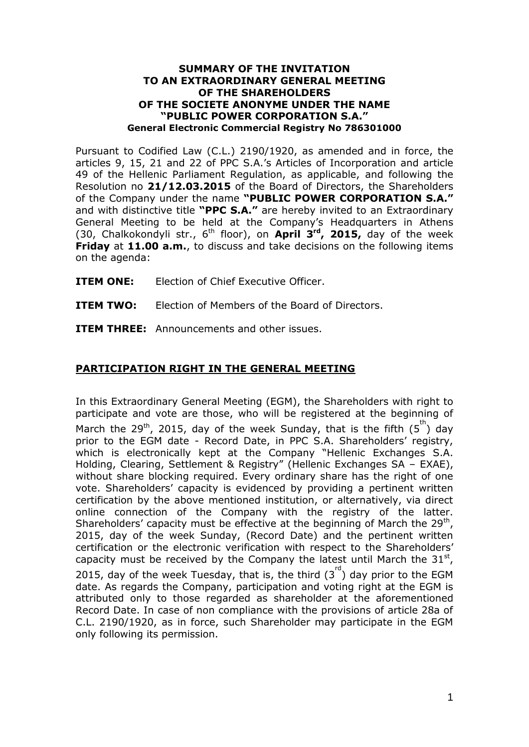## **SUMMARY OF THE INVITATION TO AN EXTRAORDINARY GENERAL MEETING OF THE SHAREHOLDERS OF THE SOCIETE ANONYME UNDER THE NAME "PUBLIC POWER CORPORATION S.A." General Electronic Commercial Registry No 786301000**

Pursuant to Codified Law (C.L.) 2190/1920, as amended and in force, the articles 9, 15, 21 and 22 of PPC S.A.'s Articles of Incorporation and article 49 of the Hellenic Parliament Regulation, as applicable, and following the Resolution no **21/12.03.2015** of the Board of Directors, the Shareholders of the Company under the name **"PUBLIC POWER CORPORATION S.A."** and with distinctive title **"PPC S.A."** are hereby invited to an Extraordinary General Meeting to be held at the Company's Headquarters in Athens (30, Chalkokondyli str., 6th floor), on **April 3rd , 2015,** day of the week **Friday** at **11.00 a.m.**, to discuss and take decisions on the following items on the agenda:

**ITEM ONE:** Election of Chief Executive Officer.

**ITEM TWO:** Election of Members of the Board of Directors.

**ITEM THREE:** Announcements and other issues.

## **PARTICIPATION RIGHT IN THE GENERAL MEETING**

In this Extraordinary General Meeting (EGM), the Shareholders with right to participate and vote are those, who will be registered at the beginning of March the 29<sup>th</sup>, 2015, day of the week Sunday, that is the fifth  $(5^{\text{th}})$  day prior to the EGM date - Record Date, in PPC S.A. Shareholders' registry, which is electronically kept at the Company "Hellenic Exchanges S.A. Holding, Clearing, Settlement & Registry" (Hellenic Exchanges SA – EXAE), without share blocking required. Every ordinary share has the right of one vote. Shareholders' capacity is evidenced by providing a pertinent written certification by the above mentioned institution, or alternatively, via direct online connection of the Company with the registry of the latter. Shareholders' capacity must be effective at the beginning of March the  $29<sup>th</sup>$ , 2015, day of the week Sunday, (Record Date) and the pertinent written certification or the electronic verification with respect to the Shareholders' capacity must be received by the Company the latest until March the  $31<sup>st</sup>$ , 2015, day of the week Tuesday, that is, the third  $(3<sup>rd</sup>)$  day prior to the EGM date. As regards the Company, participation and voting right at the EGM is attributed only to those regarded as shareholder at the aforementioned Record Date. In case of non compliance with the provisions of article 28a of C.L. 2190/1920, as in force, such Shareholder may participate in the EGM only following its permission.